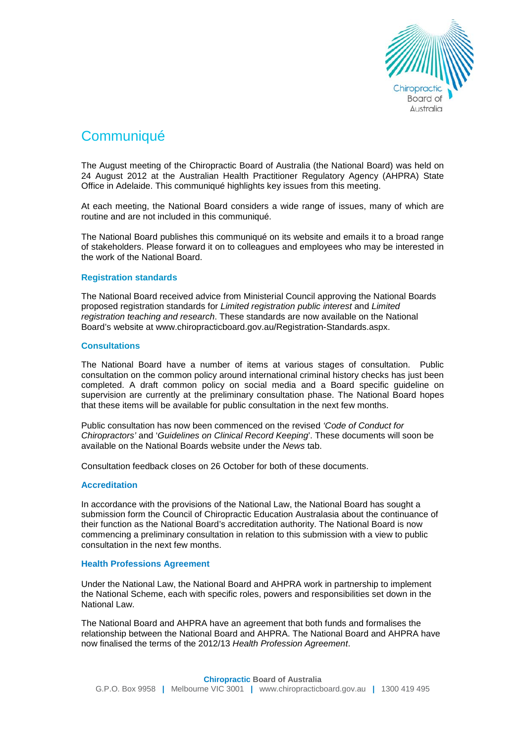

# **Communiqué**

The August meeting of the Chiropractic Board of Australia (the National Board) was held on 24 August 2012 at the Australian Health Practitioner Regulatory Agency (AHPRA) State Office in Adelaide. This communiqué highlights key issues from this meeting.

At each meeting, the National Board considers a wide range of issues, many of which are routine and are not included in this communiqué.

The National Board publishes this communiqué on its website and emails it to a broad range of stakeholders. Please forward it on to colleagues and employees who may be interested in the work of the National Board.

### **Registration standards**

The National Board received advice from Ministerial Council approving the National Boards proposed registration standards for *Limited registration public interest* and *Limited registration teaching and research*. These standards are now available on the National Board's website at www.chiropracticboard.gov.au/Registration-Standards.aspx.

### **Consultations**

The National Board have a number of items at various stages of consultation. Public consultation on the common policy around international criminal history checks has just been completed. A draft common policy on social media and a Board specific guideline on supervision are currently at the preliminary consultation phase. The National Board hopes that these items will be available for public consultation in the next few months.

Public consultation has now been commenced on the revised *'Code of Conduct for Chiropractors'* and '*Guidelines on Clinical Record Keeping*'. These documents will soon be available on the National Boards website under the *News* tab.

Consultation feedback closes on 26 October for both of these documents.

### **Accreditation**

In accordance with the provisions of the National Law, the National Board has sought a submission form the Council of Chiropractic Education Australasia about the continuance of their function as the National Board's accreditation authority. The National Board is now commencing a preliminary consultation in relation to this submission with a view to public consultation in the next few months.

### **Health Professions Agreement**

Under the National Law, the National Board and AHPRA work in partnership to implement the National Scheme, each with specific roles, powers and responsibilities set down in the National Law.

The National Board and AHPRA have an agreement that both funds and formalises the relationship between the National Board and AHPRA. The National Board and AHPRA have now finalised the terms of the 2012/13 *Health Profession Agreement*.